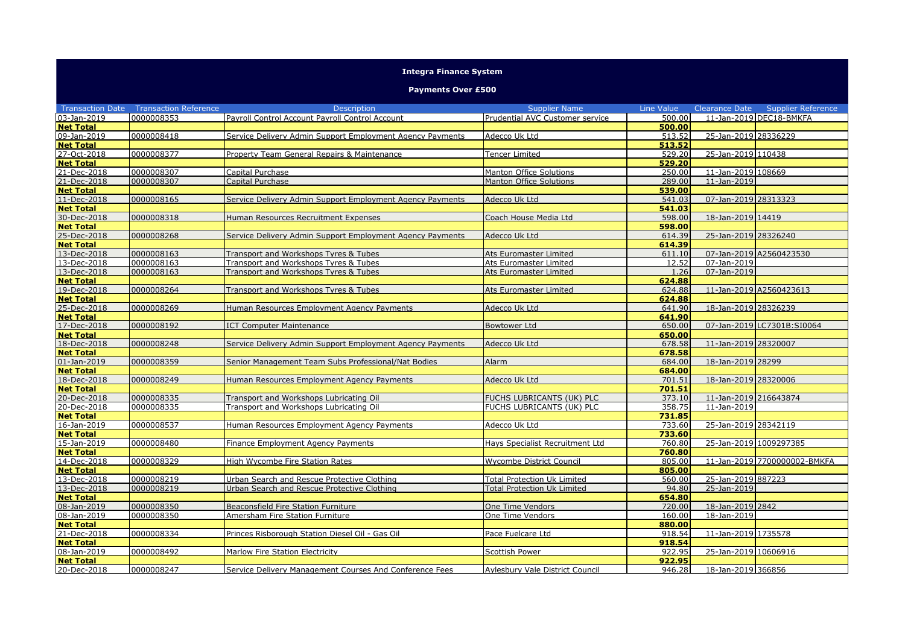## **Integra Finance System**

## **Payments Over £500**

|                  | <b>Transaction Date Transaction Reference</b> | <b>Description</b>                                        | <b>Supplier Name</b>                   | Line Value | <b>Clearance Date</b>   | <b>Supplier Reference</b>    |
|------------------|-----------------------------------------------|-----------------------------------------------------------|----------------------------------------|------------|-------------------------|------------------------------|
| 03-Jan-2019      | 0000008353                                    | Pavroll Control Account Pavroll Control Account           | Prudential AVC Customer service        | 500.00     |                         | 11-Jan-2019 DEC18-BMKFA      |
| <b>Net Total</b> |                                               |                                                           |                                        | 500.00     |                         |                              |
| 09-Jan-2019      | 0000008418                                    | Service Delivery Admin Support Employment Agency Payments | Adecco Uk Ltd                          | 513.52     | 25-Jan-2019 28336229    |                              |
| <b>Net Total</b> |                                               |                                                           |                                        | 513.52     |                         |                              |
| 27-Oct-2018      | 0000008377                                    | Property Team General Repairs & Maintenance               | Tencer Limited                         | 529.20     | 25-Jan-2019 110438      |                              |
| <b>Net Total</b> |                                               |                                                           |                                        | 529.20     |                         |                              |
| 21-Dec-2018      | 0000008307                                    | Capital Purchase                                          | <b>Manton Office Solutions</b>         | 250.00     | 11-Jan-2019 108669      |                              |
| 21-Dec-2018      | 0000008307                                    | <b>Capital Purchase</b>                                   | <b>Manton Office Solutions</b>         | 289.00     | 11-Jan-2019             |                              |
| <b>Net Total</b> |                                               |                                                           |                                        | 539.00     |                         |                              |
| 11-Dec-2018      | 0000008165                                    | Service Delivery Admin Support Employment Agency Payments | Adecco Uk Ltd                          | 541.03     | 07-Jan-2019 28313323    |                              |
| <b>Net Total</b> |                                               |                                                           |                                        | 541.03     |                         |                              |
| 30-Dec-2018      | 0000008318                                    | Human Resources Recruitment Expenses                      | Coach House Media Ltd                  | 598.00     | 18-Jan-2019 14419       |                              |
| <b>Net Total</b> |                                               |                                                           |                                        | 598.00     |                         |                              |
| 25-Dec-2018      | 0000008268                                    | Service Delivery Admin Support Employment Agency Payments | Adecco Uk Ltd                          | 614.39     | 25-Jan-2019 28326240    |                              |
| <b>Net Total</b> |                                               |                                                           |                                        | 614.39     |                         |                              |
| 13-Dec-2018      | 0000008163                                    | Transport and Workshops Tyres & Tubes                     | Ats Euromaster Limited                 | 611.10     | 07-Jan-2019 A2560423530 |                              |
| 13-Dec-2018      | 0000008163                                    | Transport and Workshops Tyres & Tubes                     | Ats Euromaster Limited                 | 12.52      | 07-Jan-2019             |                              |
| 13-Dec-2018      | 0000008163                                    | Transport and Workshops Tyres & Tubes                     | Ats Euromaster Limited                 | 1.26       | 07-Jan-2019             |                              |
| <b>Net Total</b> |                                               |                                                           |                                        | 624.88     |                         |                              |
| 19-Dec-2018      | 0000008264                                    | Transport and Workshops Tyres & Tubes                     | Ats Euromaster Limited                 | 624.88     | 11-Jan-2019 A2560423613 |                              |
| <b>Net Total</b> |                                               |                                                           |                                        | 624.88     |                         |                              |
| 25-Dec-2018      | 0000008269                                    | Human Resources Employment Agency Payments                | Adecco Uk Ltd                          | 641.90     | 18-Jan-2019 28326239    |                              |
| <b>Net Total</b> |                                               |                                                           |                                        | 641.90     |                         |                              |
| 17-Dec-2018      | 0000008192                                    | <b>ICT Computer Maintenance</b>                           | <b>Bowtower Ltd</b>                    | 650.00     |                         | 07-Jan-2019 LC7301B:SI0064   |
| <b>Net Total</b> |                                               |                                                           |                                        | 650.00     |                         |                              |
| 18-Dec-2018      | 0000008248                                    | Service Delivery Admin Support Employment Agency Payments | Adecco Uk Ltd                          | 678.58     | 11-Jan-2019 28320007    |                              |
| <b>Net Total</b> |                                               |                                                           |                                        | 678.58     |                         |                              |
| 01-Jan-2019      | 0000008359                                    | Senior Management Team Subs Professional/Nat Bodies       | Alarm                                  | 684.00     | 18-Jan-2019 28299       |                              |
| <b>Net Total</b> |                                               |                                                           |                                        | 684.00     |                         |                              |
| 18-Dec-2018      | 0000008249                                    | Human Resources Employment Agency Payments                | Adecco Uk Ltd                          | 701.51     | 18-Jan-2019 28320006    |                              |
| <b>Net Total</b> |                                               |                                                           |                                        | 701.51     |                         |                              |
| 20-Dec-2018      | 0000008335                                    | Transport and Workshops Lubricating Oil                   | FUCHS LUBRICANTS (UK) PLC              | 373.10     | 11-Jan-2019 216643874   |                              |
| 20-Dec-2018      | 0000008335                                    | Transport and Workshops Lubricating Oil                   | FUCHS LUBRICANTS (UK) PLC              | 358.75     | 11-Jan-2019             |                              |
| <b>Net Total</b> |                                               |                                                           |                                        | 731.85     |                         |                              |
| 16-Jan-2019      | 0000008537                                    | Human Resources Employment Agency Payments                | Adecco Uk Ltd                          | 733.60     | 25-Jan-2019 28342119    |                              |
| <b>Net Total</b> |                                               |                                                           |                                        | 733.60     |                         |                              |
| 15-Jan-2019      | 0000008480                                    | Finance Employment Agency Payments                        | Hays Specialist Recruitment Ltd        | 760.80     | 25-Jan-2019 1009297385  |                              |
| <b>Net Total</b> |                                               |                                                           |                                        | 760.80     |                         |                              |
| 14-Dec-2018      | 0000008329                                    | High Wycombe Fire Station Rates                           | Wycombe District Council               | 805.00     |                         | 11-Jan-2019 7700000002-BMKFA |
| <b>Net Total</b> |                                               |                                                           |                                        | 805.00     |                         |                              |
| 13-Dec-2018      | 0000008219                                    | Urban Search and Rescue Protective Clothing               | <b>Total Protection Uk Limited</b>     | 560.00     | 25-Jan-2019 887223      |                              |
| 13-Dec-2018      | 0000008219                                    | Urban Search and Rescue Protective Clothing               | <b>Total Protection Uk Limited</b>     | 94.80      | 25-Jan-2019             |                              |
| <b>Net Total</b> |                                               |                                                           |                                        | 654.80     |                         |                              |
| 08-Jan-2019      | 0000008350                                    | Beaconsfield Fire Station Furniture                       | One Time Vendors                       | 720.00     | 18-Jan-2019 2842        |                              |
| 08-Jan-2019      | 0000008350                                    | Amersham Fire Station Furniture                           | One Time Vendors                       | 160.00     | 18-Jan-2019             |                              |
| <b>Net Total</b> |                                               |                                                           |                                        | 880.00     |                         |                              |
| 21-Dec-2018      | 0000008334                                    | Princes Risborough Station Diesel Oil - Gas Oil           | Pace Fuelcare Ltd                      | 918.54     | 11-Jan-2019 1735578     |                              |
| <b>Net Total</b> |                                               |                                                           |                                        | 918.54     |                         |                              |
| 08-Jan-2019      | 0000008492                                    | Marlow Fire Station Electricity                           | Scottish Power                         | 922.95     | 25-Jan-2019 10606916    |                              |
| <b>Net Total</b> |                                               |                                                           |                                        | 922.95     |                         |                              |
| 20-Dec-2018      | 0000008247                                    | Service Delivery Management Courses And Conference Fees   | <b>Aylesbury Vale District Council</b> | 946.28     | 18-Jan-2019 366856      |                              |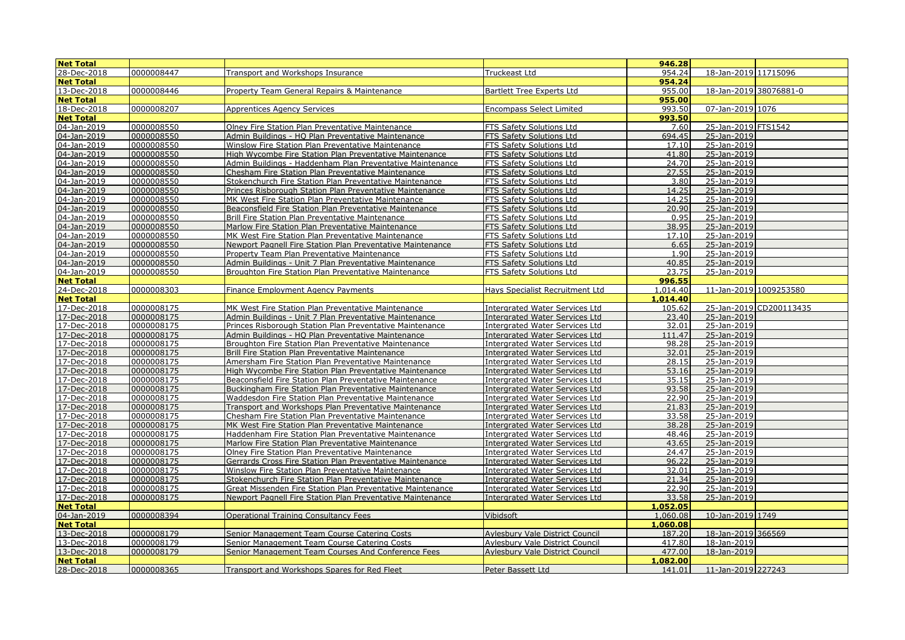| <b>Net Total</b>           |                          |                                                                                                         |                                                                         | 946.28         |                            |
|----------------------------|--------------------------|---------------------------------------------------------------------------------------------------------|-------------------------------------------------------------------------|----------------|----------------------------|
| 28-Dec-2018                | 0000008447               | Transport and Workshops Insurance                                                                       | Truckeast Ltd                                                           | 954.24         | 18-Jan-2019 11715096       |
| <b>Net Total</b>           |                          |                                                                                                         |                                                                         | 954.24         |                            |
| 13-Dec-2018                | 0000008446               | Property Team General Repairs & Maintenance                                                             | <b>Bartlett Tree Experts Ltd</b>                                        | 955.00         | 18-Jan-2019 38076881-0     |
| <b>Net Total</b>           |                          |                                                                                                         |                                                                         | 955.00         |                            |
| 18-Dec-2018                | 0000008207               | <b>Apprentices Agency Services</b>                                                                      | <b>Encompass Select Limited</b>                                         | 993.50         | 07-Jan-2019 1076           |
| <b>Net Total</b>           |                          |                                                                                                         |                                                                         | 993.50         |                            |
| 04-Jan-2019                | 0000008550               | Olney Fire Station Plan Preventative Maintenance                                                        | FTS Safety Solutions Ltd                                                | 7.60           | 25-Jan-2019 FTS1542        |
| 04-Jan-2019                | 0000008550               | Admin Buildings - HQ Plan Preventative Maintenance                                                      | FTS Safety Solutions Ltd                                                | 694.45         | 25-Jan-2019                |
| 04-Jan-2019                | 0000008550               | Winslow Fire Station Plan Preventative Maintenance                                                      | FTS Safety Solutions Ltd                                                | 17.10          | 25-Jan-2019                |
| 04-Jan-2019                | 0000008550               | High Wycombe Fire Station Plan Preventative Maintenance                                                 | FTS Safety Solutions Ltd                                                | 41.80          | 25-Jan-2019                |
| 04-Jan-2019                | 0000008550               | Admin Buildings - Haddenham Plan Preventative Maintenance                                               | FTS Safety Solutions Ltd                                                | 24.70          | 25-Jan-2019                |
| 04-Jan-2019                | 0000008550               | Chesham Fire Station Plan Preventative Maintenance                                                      | FTS Safety Solutions Ltd                                                | 27.55          | 25-Jan-2019                |
| 04-Jan-2019                | 0000008550               | Stokenchurch Fire Station Plan Preventative Maintenance                                                 | <b>FTS Safety Solutions Ltd</b>                                         | 3.80           | 25-Jan-2019                |
| 04-Jan-2019                | 0000008550               | Princes Risborough Station Plan Preventative Maintenance                                                | FTS Safety Solutions Ltd                                                | 14.25          | 25-Jan-2019                |
| 04-Jan-2019                | 0000008550               | MK West Fire Station Plan Preventative Maintenance                                                      | FTS Safety Solutions Ltd                                                | 14.25          | 25-Jan-2019                |
| 04-Jan-2019                | 0000008550               | Beaconsfield Fire Station Plan Preventative Maintenance                                                 | FTS Safety Solutions Ltd                                                | 20.90          | 25-Jan-2019                |
| 04-Jan-2019                | 0000008550               | Brill Fire Station Plan Preventative Maintenance                                                        | FTS Safety Solutions Ltd                                                | 0.95           | 25-Jan-2019                |
| 04-Jan-2019                | 0000008550               | Marlow Fire Station Plan Preventative Maintenance                                                       | FTS Safety Solutions Ltd                                                | 38.95          | 25-Jan-2019                |
| 04-Jan-2019                | 0000008550               | MK West Fire Station Plan Preventative Maintenance                                                      | FTS Safety Solutions Ltd                                                | 17.10          | 25-Jan-2019                |
| 04-Jan-2019                | 0000008550               | Newport Pagnell Fire Station Plan Preventative Maintenance                                              | FTS Safety Solutions Ltd                                                | 6.65           | 25-Jan-2019                |
| 04-Jan-2019                | 0000008550               | Property Team Plan Preventative Maintenance                                                             | FTS Safety Solutions Ltd                                                | 1.90           | 25-Jan-2019                |
| 04-Jan-2019                | 0000008550               | Admin Buildings - Unit 7 Plan Preventative Maintenance                                                  | FTS Safety Solutions Ltd                                                | 40.85          | 25-Jan-2019                |
| 04-Jan-2019                | 0000008550               | Broughton Fire Station Plan Preventative Maintenance                                                    | FTS Safety Solutions Ltd                                                | 23.75          | 25-Jan-2019                |
| <b>Net Total</b>           |                          |                                                                                                         |                                                                         | 996.55         |                            |
| 24-Dec-2018                | 0000008303               | Finance Employment Agency Payments                                                                      | Hays Specialist Recruitment Ltd                                         | 1,014.40       | 11-Jan-2019 1009253580     |
| <b>Net Total</b>           |                          |                                                                                                         |                                                                         | 1,014.40       |                            |
| 17-Dec-2018                | 0000008175               | MK West Fire Station Plan Preventative Maintenance                                                      | <b>Intergrated Water Services Ltd</b>                                   | 105.62         | 25-Jan-2019 CD200113435    |
| 17-Dec-2018                | 0000008175               | Admin Buildings - Unit 7 Plan Preventative Maintenance                                                  | <b>Intergrated Water Services Ltd</b>                                   | 23.40          | 25-Jan-2019                |
| 17-Dec-2018                | 0000008175               | Princes Risborough Station Plan Preventative Maintenance                                                | <b>Intergrated Water Services Ltd</b>                                   | 32.01          | 25-Jan-2019                |
| 17-Dec-2018                | 0000008175               | Admin Buildings - HQ Plan Preventative Maintenance                                                      | <b>Intergrated Water Services Ltd</b>                                   | 111.47         | 25-Jan-2019                |
| 17-Dec-2018                | 0000008175               | Broughton Fire Station Plan Preventative Maintenance                                                    | <b>Intergrated Water Services Ltd</b>                                   | 98.28          | 25-Jan-2019                |
| 17-Dec-2018<br>17-Dec-2018 | 0000008175<br>0000008175 | Brill Fire Station Plan Preventative Maintenance<br>Amersham Fire Station Plan Preventative Maintenance | <b>Intergrated Water Services Ltd</b><br>Intergrated Water Services Ltd | 32.01<br>28.15 | 25-Jan-2019<br>25-Jan-2019 |
| 17-Dec-2018                | 0000008175               | High Wycombe Fire Station Plan Preventative Maintenance                                                 | <b>Intergrated Water Services Ltd</b>                                   | 53.16          | 25-Jan-2019                |
| 17-Dec-2018                | 0000008175               | Beaconsfield Fire Station Plan Preventative Maintenance                                                 | <b>Intergrated Water Services Ltd</b>                                   | 35.15          | 25-Jan-2019                |
| 17-Dec-2018                | 0000008175               | Buckingham Fire Station Plan Preventative Maintenance                                                   | <b>Intergrated Water Services Ltd</b>                                   | 93.58          | 25-Jan-2019                |
| 17-Dec-2018                | 0000008175               | Waddesdon Fire Station Plan Preventative Maintenance                                                    | <b>Intergrated Water Services Ltd</b>                                   | 22.90          | 25-Jan-2019                |
| 17-Dec-2018                | 0000008175               | Transport and Workshops Plan Preventative Maintenance                                                   | <b>Intergrated Water Services Ltd</b>                                   | 21.83          | 25-Jan-2019                |
| 17-Dec-2018                | 0000008175               | Chesham Fire Station Plan Preventative Maintenance                                                      | Intergrated Water Services Ltd                                          | 33.58          | 25-Jan-2019                |
| 17-Dec-2018                | 0000008175               | MK West Fire Station Plan Preventative Maintenance                                                      | <b>Intergrated Water Services Ltd</b>                                   | 38.28          | 25-Jan-2019                |
| 17-Dec-2018                | 0000008175               | Haddenham Fire Station Plan Preventative Maintenance                                                    | <b>Intergrated Water Services Ltd</b>                                   | 48.46          | 25-Jan-2019                |
| 17-Dec-2018                | 0000008175               | Marlow Fire Station Plan Preventative Maintenance                                                       | <b>Intergrated Water Services Ltd</b>                                   | 43.65          | 25-Jan-2019                |
| 17-Dec-2018                | 0000008175               | Olney Fire Station Plan Preventative Maintenance                                                        | Intergrated Water Services Ltd                                          | 24.47          | 25-Jan-2019                |
| 17-Dec-2018                | 0000008175               | Gerrards Cross Fire Station Plan Preventative Maintenance                                               | <b>Intergrated Water Services Ltd</b>                                   | 96.22          | 25-Jan-2019                |
| 17-Dec-2018                | 0000008175               | Winslow Fire Station Plan Preventative Maintenance                                                      | <b>Intergrated Water Services Ltd</b>                                   | 32.01          | 25-Jan-2019                |
| 17-Dec-2018                | 0000008175               | Stokenchurch Fire Station Plan Preventative Maintenance                                                 | <b>Intergrated Water Services Ltd</b>                                   | 21.34          | 25-Jan-2019                |
| 17-Dec-2018                | 0000008175               | Great Missenden Fire Station Plan Preventative Maintenance                                              | <b>Intergrated Water Services Ltd</b>                                   | 22.90          | 25-Jan-2019                |
| 17-Dec-2018                | 0000008175               | Newport Pagnell Fire Station Plan Preventative Maintenance                                              | <b>Intergrated Water Services Ltd</b>                                   | 33.58          | 25-Jan-2019                |
| <b>Net Total</b>           |                          |                                                                                                         |                                                                         | 1,052.05       |                            |
| 04-Jan-2019                | 0000008394               | <b>Operational Training Consultancy Fees</b>                                                            | Vibidsoft                                                               | 1,060.08       | 10-Jan-2019 1749           |
| <b>Net Total</b>           |                          |                                                                                                         |                                                                         | 1,060.08       |                            |
| 13-Dec-2018                | 0000008179               | Senior Management Team Course Catering Costs                                                            | <b>Aylesbury Vale District Council</b>                                  | 187.20         | 18-Jan-2019 366569         |
| 13-Dec-2018                | 0000008179               | Senior Management Team Course Catering Costs                                                            | <b>Aylesbury Vale District Council</b>                                  | 417.80         | 18-Jan-2019                |
| 13-Dec-2018                | 0000008179               | Senior Management Team Courses And Conference Fees                                                      | <b>Aylesbury Vale District Council</b>                                  | 477.00         | 18-Jan-2019                |
| <b>Net Total</b>           |                          |                                                                                                         |                                                                         | ,082.00        |                            |
| 28-Dec-2018                | 0000008365               | Transport and Workshops Spares for Red Fleet                                                            | Peter Bassett Ltd                                                       | 141.01         | 11-Jan-2019 227243         |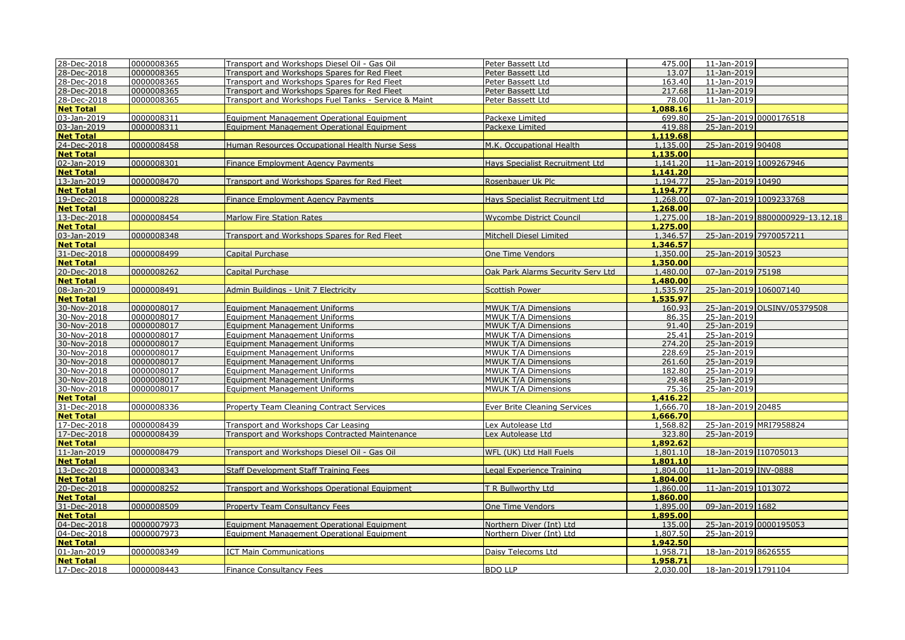| 28-Dec-2018      | 0000008365 | Transport and Workshops Diesel Oil - Gas Oil         | Peter Bassett Ltd                      | 475.00   | 11-Jan-2019            |                                 |
|------------------|------------|------------------------------------------------------|----------------------------------------|----------|------------------------|---------------------------------|
| 28-Dec-2018      | 0000008365 | Transport and Workshops Spares for Red Fleet         | Peter Bassett Ltd                      | 13.07    | 11-Jan-2019            |                                 |
| 28-Dec-2018      | 0000008365 | Transport and Workshops Spares for Red Fleet         | Peter Bassett Ltd                      | 163.40   | 11-Jan-2019            |                                 |
| 28-Dec-2018      | 0000008365 | Transport and Workshops Spares for Red Fleet         | Peter Bassett Ltd                      | 217.68   | 11-Jan-2019            |                                 |
| 28-Dec-2018      | 0000008365 | Transport and Workshops Fuel Tanks - Service & Maint | Peter Bassett Ltd                      | 78.00    | 11-Jan-2019            |                                 |
| <b>Net Total</b> |            |                                                      |                                        | 1,088.16 |                        |                                 |
| 03-Jan-2019      | 0000008311 | Equipment Management Operational Equipment           | Packexe Limited                        | 699.80   |                        | 25-Jan-2019 0000176518          |
| 03-Jan-2019      | 0000008311 | Equipment Management Operational Equipment           | Packexe Limited                        | 419.88   | 25-Jan-2019            |                                 |
| <b>Net Total</b> |            |                                                      |                                        | 1,119.68 |                        |                                 |
| 24-Dec-2018      | 0000008458 | Human Resources Occupational Health Nurse Sess       | M.K. Occupational Health               | 1,135.00 | 25-Jan-2019 90408      |                                 |
| <b>Net Total</b> |            |                                                      |                                        | 1,135.00 |                        |                                 |
| 02-Jan-2019      | 0000008301 | Finance Employment Agency Payments                   | Hays Specialist Recruitment Ltd        | 1,141.20 |                        | 11-Jan-2019 1009267946          |
| <b>Net Total</b> |            |                                                      |                                        | 1,141.20 |                        |                                 |
| 13-Jan-2019      | 0000008470 | Transport and Workshops Spares for Red Fleet         | Rosenbauer Uk Plc                      | 1,194.77 | 25-Jan-2019 10490      |                                 |
| <b>Net Total</b> |            |                                                      |                                        | 1,194,77 |                        |                                 |
| 19-Dec-2018      | 0000008228 | <b>Finance Employment Agency Payments</b>            | <b>Hays Specialist Recruitment Ltd</b> | 1,268.00 |                        | 07-Jan-2019 1009233768          |
| <b>Net Total</b> |            |                                                      |                                        | 1,268.00 |                        |                                 |
| 13-Dec-2018      | 0000008454 | <b>Marlow Fire Station Rates</b>                     | <b>Wycombe District Council</b>        | 1,275.00 |                        | 18-Jan-2019 8800000929-13.12.18 |
| <b>Net Total</b> |            |                                                      |                                        | 1,275,00 |                        |                                 |
| 03-Jan-2019      | 0000008348 | Transport and Workshops Spares for Red Fleet         | Mitchell Diesel Limited                | 1,346.57 | 25-Jan-2019 7970057211 |                                 |
| <b>Net Total</b> |            |                                                      |                                        | 1,346.57 |                        |                                 |
| 31-Dec-2018      | 0000008499 | Capital Purchase                                     | One Time Vendors                       | 1,350.00 | 25-Jan-2019 30523      |                                 |
| <b>Net Total</b> |            |                                                      |                                        | 1,350.00 |                        |                                 |
| 20-Dec-2018      | 0000008262 | Capital Purchase                                     | Oak Park Alarms Security Serv Ltd      | 1,480.00 | 07-Jan-2019 75198      |                                 |
| <b>Net Total</b> |            |                                                      |                                        | 1,480.00 |                        |                                 |
| 08-Jan-2019      | 0000008491 | Admin Buildings - Unit 7 Electricity                 | Scottish Power                         | 1,535.97 | 25-Jan-2019 106007140  |                                 |
| <b>Net Total</b> |            |                                                      |                                        | 1,535.97 |                        |                                 |
| 30-Nov-2018      | 0000008017 | <b>Equipment Management Uniforms</b>                 | MWUK T/A Dimensions                    | 160.93   |                        | 25-Jan-2019 OLSINV/05379508     |
| 30-Nov-2018      | 0000008017 | <b>Equipment Management Uniforms</b>                 | MWUK T/A Dimensions                    | 86.35    | 25-Jan-2019            |                                 |
| 30-Nov-2018      | 0000008017 | <b>Equipment Management Uniforms</b>                 | <b>MWUK T/A Dimensions</b>             | 91.40    | 25-Jan-2019            |                                 |
| 30-Nov-2018      | 0000008017 | <b>Equipment Management Uniforms</b>                 | MWUK T/A Dimensions                    | 25.41    | 25-Jan-2019            |                                 |
| 30-Nov-2018      | 0000008017 | <b>Equipment Management Uniforms</b>                 | <b>MWUK T/A Dimensions</b>             | 274.20   | 25-Jan-2019            |                                 |
| 30-Nov-2018      | 0000008017 | Equipment Management Uniforms                        | MWUK T/A Dimensions                    | 228.69   | 25-Jan-2019            |                                 |
| 30-Nov-2018      | 0000008017 | <b>Equipment Management Uniforms</b>                 | <b>MWUK T/A Dimensions</b>             | 261.60   | 25-Jan-2019            |                                 |
| 30-Nov-2018      | 0000008017 | <b>Equipment Management Uniforms</b>                 | MWUK T/A Dimensions                    | 182.80   | 25-Jan-2019            |                                 |
| 30-Nov-2018      | 0000008017 | Equipment Management Uniforms                        | MWUK T/A Dimensions                    | 29.48    | 25-Jan-2019            |                                 |
| 30-Nov-2018      | 0000008017 | <b>Equipment Management Uniforms</b>                 | MWUK T/A Dimensions                    | 75.36    | 25-Jan-2019            |                                 |
| <b>Net Total</b> |            |                                                      |                                        | 1,416.22 |                        |                                 |
| 31-Dec-2018      | 0000008336 | Property Team Cleaning Contract Services             | Ever Brite Cleaning Services           | 1,666.70 | 18-Jan-2019 20485      |                                 |
| <b>Net Total</b> |            |                                                      |                                        | 1,666.70 |                        |                                 |
| 17-Dec-2018      | 0000008439 | Transport and Workshops Car Leasing                  | Lex Autolease Ltd                      | 1,568.82 |                        | 25-Jan-2019 MRI7958824          |
| 17-Dec-2018      | 0000008439 | Transport and Workshops Contracted Maintenance       | Lex Autolease Ltd                      | 323.80   | 25-Jan-2019            |                                 |
| <b>Net Total</b> |            |                                                      |                                        | 1,892.62 |                        |                                 |
| 11-Jan-2019      | 0000008479 | Transport and Workshops Diesel Oil - Gas Oil         | WFL (UK) Ltd Hall Fuels                | 1,801.10 | 18-Jan-2019 110705013  |                                 |
| <b>Net Total</b> |            |                                                      |                                        | 1,801.10 |                        |                                 |
| 13-Dec-2018      | 0000008343 | <b>Staff Development Staff Training Fees</b>         | Legal Experience Training              | 1,804.00 | 11-Jan-2019 INV-0888   |                                 |
| <b>Net Total</b> |            |                                                      |                                        | 1,804.00 |                        |                                 |
| 20-Dec-2018      | 0000008252 | Transport and Workshops Operational Equipment        | T R Bullworthy Ltd                     | 1,860.00 | 11-Jan-2019 1013072    |                                 |
| <b>Net Total</b> |            |                                                      |                                        | 1.860.00 |                        |                                 |
| 31-Dec-2018      | 0000008509 | Property Team Consultancy Fees                       | One Time Vendors                       | 1,895.00 | 09-Jan-2019 1682       |                                 |
| <b>Net Total</b> |            |                                                      |                                        | 1,895,00 |                        |                                 |
| 04-Dec-2018      | 0000007973 | Equipment Management Operational Equipment           | Northern Diver (Int) Ltd               | 135.00   |                        | 25-Jan-2019 0000195053          |
| 04-Dec-2018      | 0000007973 | Equipment Management Operational Equipment           | Northern Diver (Int) Ltd               | 1,807.50 | 25-Jan-2019            |                                 |
| <b>Net Total</b> |            |                                                      |                                        | 1,942.50 |                        |                                 |
| 01-Jan-2019      | 0000008349 | <b>ICT Main Communications</b>                       | Daisy Telecoms Ltd                     | 1,958.71 | 18-Jan-2019 8626555    |                                 |
| <b>Net Total</b> |            |                                                      |                                        | 1,958.71 |                        |                                 |
| 17-Dec-2018      | 0000008443 | <b>Finance Consultancy Fees</b>                      | <b>BDO LLP</b>                         | 2,030.00 | 18-Jan-2019 1791104    |                                 |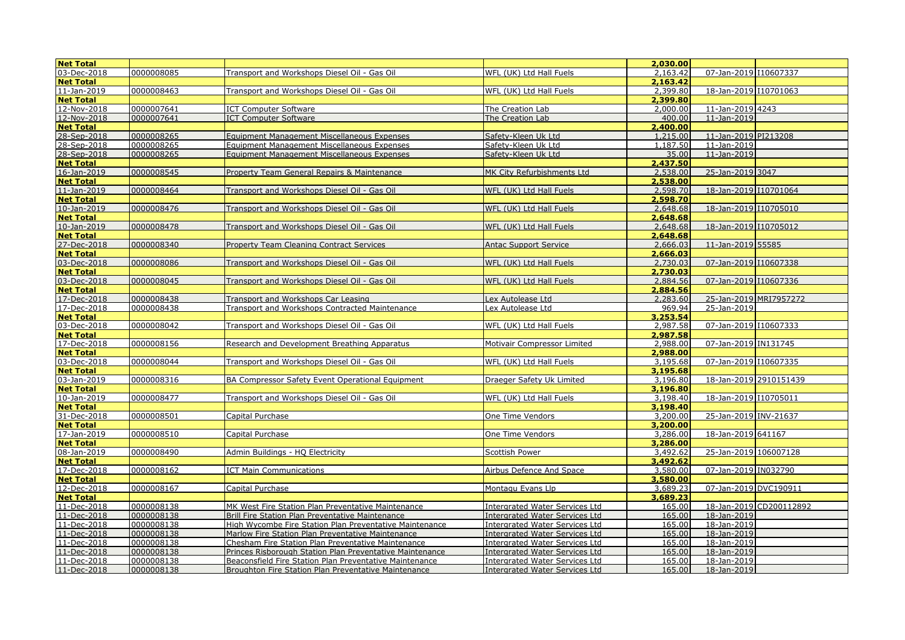| <b>Net Total</b> |            |                                                          |                                       | 2,030,00 |                         |
|------------------|------------|----------------------------------------------------------|---------------------------------------|----------|-------------------------|
| 03-Dec-2018      | 0000008085 | Transport and Workshops Diesel Oil - Gas Oil             | WFL (UK) Ltd Hall Fuels               | 2,163.42 | 07-Jan-2019 110607337   |
| <b>Net Total</b> |            |                                                          |                                       | 2,163,42 |                         |
| 11-Jan-2019      | 0000008463 | Transport and Workshops Diesel Oil - Gas Oil             | WFL (UK) Ltd Hall Fuels               | 2,399.80 | 18-Jan-2019 I10701063   |
| <b>Net Total</b> |            |                                                          |                                       | 2,399.80 |                         |
| 12-Nov-2018      | 0000007641 | <b>ICT Computer Software</b>                             | The Creation Lab                      | 2,000.00 | 11-Jan-2019 4243        |
| 12-Nov-2018      | 0000007641 | <b>ICT Computer Software</b>                             | The Creation Lab                      | 400.00   | 11-Jan-2019             |
| <b>Net Total</b> |            |                                                          |                                       | 2,400.00 |                         |
| 28-Sep-2018      | 0000008265 | Equipment Management Miscellaneous Expenses              | Safety-Kleen Uk Ltd                   | 1,215.00 | 11-Jan-2019 PI213208    |
| 28-Sep-2018      | 0000008265 | Equipment Management Miscellaneous Expenses              | Safety-Kleen Uk Ltd                   | 1,187.50 | 11-Jan-2019             |
| 28-Sep-2018      | 0000008265 | Equipment Management Miscellaneous Expenses              | Safety-Kleen Uk Ltd                   | 35.00    | 11-Jan-2019             |
| <b>Net Total</b> |            |                                                          |                                       | 2,437.50 |                         |
| 16-Jan-2019      | 0000008545 | Property Team General Repairs & Maintenance              | MK City Refurbishments Ltd            | 2,538,00 | 25-Jan-2019 3047        |
| <b>Net Total</b> |            |                                                          |                                       | 2,538.00 |                         |
| 11-Jan-2019      | 0000008464 | Transport and Workshops Diesel Oil - Gas Oil             | WFL (UK) Ltd Hall Fuels               | 2,598.70 | 18-Jan-2019 I10701064   |
| <b>Net Total</b> |            |                                                          |                                       | 2,598.70 |                         |
| 10-Jan-2019      | 0000008476 | Transport and Workshops Diesel Oil - Gas Oil             | WFL (UK) Ltd Hall Fuels               | 2,648.68 | 18-Jan-2019 I10705010   |
| <b>Net Total</b> |            |                                                          |                                       | 2,648.68 |                         |
| 10-Jan-2019      | 0000008478 | Transport and Workshops Diesel Oil - Gas Oil             | WFL (UK) Ltd Hall Fuels               | 2,648.68 | 18-Jan-2019 110705012   |
| <b>Net Total</b> |            |                                                          |                                       | 2,648,68 |                         |
| 27-Dec-2018      | 0000008340 | Property Team Cleaning Contract Services                 | <b>Antac Support Service</b>          | 2,666.03 | 11-Jan-2019 55585       |
| <b>Net Total</b> |            |                                                          |                                       | 2,666.03 |                         |
| 03-Dec-2018      | 0000008086 | Transport and Workshops Diesel Oil - Gas Oil             | WFL (UK) Ltd Hall Fuels               | 2,730.03 | 07-Jan-2019 10607338    |
| <b>Net Total</b> |            |                                                          |                                       | 2,730.03 |                         |
| 03-Dec-2018      | 0000008045 | Transport and Workshops Diesel Oil - Gas Oil             | WFL (UK) Ltd Hall Fuels               | 2,884.56 | 07-Jan-2019 110607336   |
| <b>Net Total</b> |            |                                                          |                                       | 2,884.56 |                         |
| 17-Dec-2018      | 0000008438 | Transport and Workshops Car Leasing                      | Lex Autolease Ltd                     | 2,283.60 | 25-Jan-2019 MRI7957272  |
| 17-Dec-2018      | 0000008438 | Transport and Workshops Contracted Maintenance           | Lex Autolease Ltd                     | 969.94   | 25-Jan-2019             |
| <b>Net Total</b> |            |                                                          |                                       | 3,253.54 |                         |
| 03-Dec-2018      | 0000008042 | Transport and Workshops Diesel Oil - Gas Oil             | WFL (UK) Ltd Hall Fuels               | 2,987.58 | 07-Jan-2019 110607333   |
| <b>Net Total</b> |            |                                                          |                                       | 2,987.58 |                         |
| 17-Dec-2018      | 0000008156 | Research and Development Breathing Apparatus             | Motivair Compressor Limited           | 2,988.00 | 07-Jan-2019 IN131745    |
| <b>Net Total</b> |            |                                                          |                                       | 2,988.00 |                         |
| 03-Dec-2018      | 0000008044 | Transport and Workshops Diesel Oil - Gas Oil             | WFL (UK) Ltd Hall Fuels               | 3,195.68 | 07-Jan-2019 110607335   |
| <b>Net Total</b> |            |                                                          |                                       | 3,195.68 |                         |
| 03-Jan-2019      | 0000008316 | BA Compressor Safety Event Operational Equipment         | Draeger Safety Uk Limited             | 3,196.80 | 18-Jan-2019 2910151439  |
| <b>Net Total</b> |            |                                                          |                                       | 3,196.80 |                         |
| 10-Jan-2019      | 0000008477 | Transport and Workshops Diesel Oil - Gas Oil             | WFL (UK) Ltd Hall Fuels               | 3,198.40 | 18-Jan-2019 110705011   |
| <b>Net Total</b> |            |                                                          |                                       | 3,198,40 |                         |
| 31-Dec-2018      | 0000008501 | Capital Purchase                                         | One Time Vendors                      | 3,200.00 | 25-Jan-2019 INV-21637   |
| <b>Net Total</b> |            |                                                          |                                       | 3,200.00 |                         |
| 17-Jan-2019      | 0000008510 | Capital Purchase                                         | One Time Vendors                      | 3.286.00 | 18-Jan-2019 641167      |
| <b>Net Total</b> |            |                                                          |                                       | 3,286.00 |                         |
| 08-Jan-2019      | 0000008490 | Admin Buildings - HQ Electricity                         | Scottish Power                        | 3,492.62 | 25-Jan-2019 106007128   |
| <b>Net Total</b> |            |                                                          |                                       | 3,492.62 |                         |
| 17-Dec-2018      | 0000008162 | <b>ICT Main Communications</b>                           | Airbus Defence And Space              | 3,580.00 | 07-Jan-2019 IN032790    |
| <b>Net Total</b> |            |                                                          |                                       | 3,580.00 |                         |
| 12-Dec-2018      | 0000008167 | Capital Purchase                                         | Montagu Evans Llp                     | 3,689.23 | 07-Jan-2019 DVC190911   |
| <b>Net Total</b> |            |                                                          |                                       | 3,689.23 |                         |
| 11-Dec-2018      | 0000008138 | MK West Fire Station Plan Preventative Maintenance       | <b>Intergrated Water Services Ltd</b> | 165.00   | 18-Jan-2019 CD200112892 |
| 11-Dec-2018      | 0000008138 | <b>Brill Fire Station Plan Preventative Maintenance</b>  | <b>Intergrated Water Services Ltd</b> | 165.00   | 18-Jan-2019             |
| 11-Dec-2018      | 0000008138 | High Wycombe Fire Station Plan Preventative Maintenance  | <b>Intergrated Water Services Ltd</b> | 165.00   | 18-Jan-2019             |
| 11-Dec-2018      | 0000008138 | Marlow Fire Station Plan Preventative Maintenance        | <b>Intergrated Water Services Ltd</b> | 165.00   | 18-Jan-2019             |
| 11-Dec-2018      | 0000008138 | Chesham Fire Station Plan Preventative Maintenance       | <b>Intergrated Water Services Ltd</b> | 165.00   | 18-Jan-2019             |
| 11-Dec-2018      | 0000008138 | Princes Risborough Station Plan Preventative Maintenance | <b>Intergrated Water Services Ltd</b> | 165.00   | 18-Jan-2019             |
| 11-Dec-2018      | 0000008138 | Beaconsfield Fire Station Plan Preventative Maintenance  | <b>Intergrated Water Services Ltd</b> | 165.00   | 18-Jan-2019             |
| 11-Dec-2018      | 0000008138 | Broughton Fire Station Plan Preventative Maintenance     | <b>Intergrated Water Services Ltd</b> | 165.00   | 18-Jan-2019             |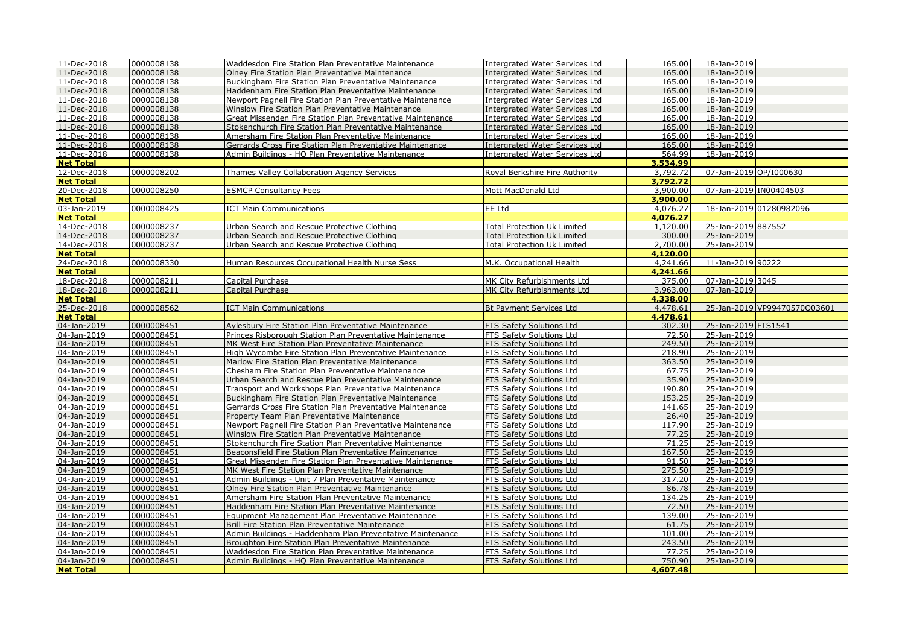| 11-Dec-2018                | 0000008138               | Waddesdon Fire Station Plan Preventative Maintenance                                                                 | <b>Intergrated Water Services Ltd</b>                | 165.00          | 18-Jan-2019                  |
|----------------------------|--------------------------|----------------------------------------------------------------------------------------------------------------------|------------------------------------------------------|-----------------|------------------------------|
| 11-Dec-2018                | 0000008138               | Olney Fire Station Plan Preventative Maintenance                                                                     | Intergrated Water Services Ltd                       | 165.00          | 18-Jan-2019                  |
| 11-Dec-2018                | 0000008138               | Buckingham Fire Station Plan Preventative Maintenance                                                                | <b>Intergrated Water Services Ltd</b>                | 165.00          | 18-Jan-2019                  |
| 11-Dec-2018                | 0000008138               | Haddenham Fire Station Plan Preventative Maintenance                                                                 | <b>Intergrated Water Services Ltd</b>                | 165.00          | 18-Jan-2019                  |
| 11-Dec-2018                | 0000008138               | Newport Pagnell Fire Station Plan Preventative Maintenance                                                           | <b>Intergrated Water Services Ltd</b>                | 165.00          | 18-Jan-2019                  |
| 11-Dec-2018                | 0000008138               | Winslow Fire Station Plan Preventative Maintenance                                                                   | <b>Intergrated Water Services Ltd</b>                | 165.00          | 18-Jan-2019                  |
| 11-Dec-2018                | 0000008138               | Great Missenden Fire Station Plan Preventative Maintenance                                                           | <b>Intergrated Water Services Ltd</b>                | 165.00          | 18-Jan-2019                  |
| 11-Dec-2018                | 0000008138               | Stokenchurch Fire Station Plan Preventative Maintenance                                                              | <b>Intergrated Water Services Ltd</b>                | 165.00          | 18-Jan-2019                  |
| 11-Dec-2018                | 0000008138               | Amersham Fire Station Plan Preventative Maintenance                                                                  | <b>Intergrated Water Services Ltd</b>                | 165.00          | 18-Jan-2019                  |
| 11-Dec-2018                | 0000008138               | Gerrards Cross Fire Station Plan Preventative Maintenance                                                            | <b>Intergrated Water Services Ltd</b>                | 165.00          | 18-Jan-2019                  |
| 11-Dec-2018                | 0000008138               | Admin Buildings - HQ Plan Preventative Maintenance                                                                   | <b>Intergrated Water Services Ltd</b>                | 564.99          | 18-Jan-2019                  |
| <b>Net Total</b>           |                          |                                                                                                                      |                                                      | 3,534.99        |                              |
| 12-Dec-2018                | 0000008202               | Thames Valley Collaboration Agency Services                                                                          | Royal Berkshire Fire Authority                       | 3,792.72        | 07-Jan-2019 OP/I000630       |
| <b>Net Total</b>           |                          |                                                                                                                      |                                                      | 3,792.72        |                              |
| 20-Dec-2018                | 0000008250               | <b>ESMCP Consultancy Fees</b>                                                                                        | Mott MacDonald Ltd                                   | 3,900.00        | 07-Jan-2019 IN00404503       |
| <b>Net Total</b>           |                          |                                                                                                                      |                                                      | 3,900.00        |                              |
| 03-Jan-2019                | 0000008425               | <b>ICT Main Communications</b>                                                                                       | EE Ltd                                               | 4,076.27        | 18-Jan-2019 01280982096      |
| <b>Net Total</b>           |                          |                                                                                                                      |                                                      | 4,076.27        |                              |
| 14-Dec-2018                | 0000008237               | Urban Search and Rescue Protective Clothing                                                                          | Total Protection Uk Limited                          | 1,120.00        | 25-Jan-2019 887552           |
| 14-Dec-2018                | 0000008237               | Urban Search and Rescue Protective Clothing                                                                          | <b>Total Protection Uk Limited</b>                   | 300.00          | 25-Jan-2019                  |
| 14-Dec-2018                | 0000008237               | Urban Search and Rescue Protective Clothing                                                                          | <b>Total Protection Uk Limited</b>                   | 2,700.00        | 25-Jan-2019                  |
| <b>Net Total</b>           |                          |                                                                                                                      |                                                      | 4,120.00        |                              |
| 24-Dec-2018                | 0000008330               | Human Resources Occupational Health Nurse Sess                                                                       | M.K. Occupational Health                             | 4,241.66        | 11-Jan-2019 90222            |
| <b>Net Total</b>           |                          |                                                                                                                      |                                                      | 4,241.66        |                              |
| 18-Dec-2018                | 0000008211               | Capital Purchase                                                                                                     | MK City Refurbishments Ltd                           | 375.00          | 07-Jan-2019 3045             |
| 18-Dec-2018                | 0000008211               | Capital Purchase                                                                                                     | MK City Refurbishments Ltd                           | 3,963.00        | 07-Jan-2019                  |
| <b>Net Total</b>           |                          |                                                                                                                      |                                                      | 4,338.00        |                              |
| 25-Dec-2018                | 0000008562               | <b>ICT Main Communications</b>                                                                                       | <b>Bt Payment Services Ltd</b>                       | 4,478.61        | 25-Jan-2019 VP99470570Q03601 |
| <b>Net Total</b>           |                          |                                                                                                                      |                                                      | 4,478.61        |                              |
| 04-Jan-2019                | 0000008451               | Aylesbury Fire Station Plan Preventative Maintenance                                                                 | FTS Safety Solutions Ltd                             | 302.30          | 25-Jan-2019 FTS1541          |
| 04-Jan-2019                | 0000008451               | Princes Risborough Station Plan Preventative Maintenance                                                             | FTS Safety Solutions Ltd                             | 72.50           | 25-Jan-2019                  |
| 04-Jan-2019                | 0000008451               | MK West Fire Station Plan Preventative Maintenance                                                                   | FTS Safety Solutions Ltd                             | 249.50          | 25-Jan-2019                  |
| 04-Jan-2019                | 0000008451               | High Wycombe Fire Station Plan Preventative Maintenance                                                              | FTS Safety Solutions Ltd                             | 218.90          | 25-Jan-2019                  |
| 04-Jan-2019                | 0000008451               | Marlow Fire Station Plan Preventative Maintenance                                                                    | FTS Safety Solutions Ltd                             | 363.50          | 25-Jan-2019                  |
| 04-Jan-2019                | 0000008451               | Chesham Fire Station Plan Preventative Maintenance                                                                   | FTS Safety Solutions Ltd                             | 67.75           | 25-Jan-2019                  |
| 04-Jan-2019                | 0000008451               | Urban Search and Rescue Plan Preventative Maintenance                                                                | FTS Safety Solutions Ltd                             | 35.90           | 25-Jan-2019                  |
| 04-Jan-2019                | 0000008451               | Transport and Workshops Plan Preventative Maintenance                                                                | FTS Safety Solutions Ltd                             | 190.80          | 25-Jan-2019                  |
| 04-Jan-2019                | 0000008451               | Buckingham Fire Station Plan Preventative Maintenance                                                                | FTS Safety Solutions Ltd                             | 153.25          | 25-Jan-2019                  |
| 04-Jan-2019                | 0000008451               | Gerrards Cross Fire Station Plan Preventative Maintenance                                                            | FTS Safety Solutions Ltd                             | 141.65          | 25-Jan-2019                  |
| 04-Jan-2019                | 0000008451               | Property Team Plan Preventative Maintenance                                                                          | <b>FTS Safety Solutions Ltd</b>                      | 26.40           | 25-Jan-2019                  |
| 04-Jan-2019                | 0000008451               | Newport Pagnell Fire Station Plan Preventative Maintenance                                                           | FTS Safety Solutions Ltd                             | 117.90          | 25-Jan-2019                  |
| 04-Jan-2019                | 0000008451               | Winslow Fire Station Plan Preventative Maintenance                                                                   | FTS Safety Solutions Ltd                             | 77.25           | 25-Jan-2019                  |
| 04-Jan-2019                | 0000008451               | Stokenchurch Fire Station Plan Preventative Maintenance                                                              | FTS Safety Solutions Ltd                             | 71.25           | 25-Jan-2019                  |
| 04-Jan-2019                | 0000008451               | Beaconsfield Fire Station Plan Preventative Maintenance                                                              | FTS Safety Solutions Ltd                             | 167.50          | 25-Jan-2019                  |
| 04-Jan-2019                | 0000008451               | Great Missenden Fire Station Plan Preventative Maintenance                                                           | <b>FTS Safety Solutions Ltd</b>                      | 91.50           | 25-Jan-2019                  |
| 04-Jan-2019                | 0000008451               | MK West Fire Station Plan Preventative Maintenance                                                                   | FTS Safety Solutions Ltd                             | 275.50          | 25-Jan-2019                  |
| 04-Jan-2019                | 0000008451<br>0000008451 | Admin Buildings - Unit 7 Plan Preventative Maintenance                                                               | FTS Safety Solutions Ltd                             | 317.20<br>86.78 | 25-Jan-2019<br>25-Jan-2019   |
| 04-Jan-2019                |                          | Olney Fire Station Plan Preventative Maintenance                                                                     | FTS Safety Solutions Ltd                             |                 |                              |
| 04-Jan-2019                | 0000008451<br>0000008451 | Amersham Fire Station Plan Preventative Maintenance                                                                  | FTS Safety Solutions Ltd                             | 134.25<br>72.50 | 25-Jan-2019<br>25-Jan-2019   |
| 04-Jan-2019<br>04-Jan-2019 | 0000008451               | Haddenham Fire Station Plan Preventative Maintenance<br>Equipment Management Plan Preventative Maintenance           | FTS Safety Solutions Ltd<br>FTS Safety Solutions Ltd | 139.00          | 25-Jan-2019                  |
| 04-Jan-2019                | 0000008451               |                                                                                                                      | FTS Safety Solutions Ltd                             | 61.75           | 25-Jan-2019                  |
| 04-Jan-2019                | 0000008451               | <b>Brill Fire Station Plan Preventative Maintenance</b><br>Admin Buildings - Haddenham Plan Preventative Maintenance | FTS Safety Solutions Ltd                             | 101.00          | 25-Jan-2019                  |
| 04-Jan-2019                | 0000008451               | Broughton Fire Station Plan Preventative Maintenance                                                                 | FTS Safety Solutions Ltd                             | 243.50          | 25-Jan-2019                  |
| 04-Jan-2019                | 0000008451               | Waddesdon Fire Station Plan Preventative Maintenance                                                                 | FTS Safety Solutions Ltd                             | 77.25           | 25-Jan-2019                  |
| 04-Jan-2019                | 0000008451               | Admin Buildings - HQ Plan Preventative Maintenance                                                                   | FTS Safety Solutions Ltd                             | 750.90          | 25-Jan-2019                  |
| <b>Net Total</b>           |                          |                                                                                                                      |                                                      | 4,607.48        |                              |
|                            |                          |                                                                                                                      |                                                      |                 |                              |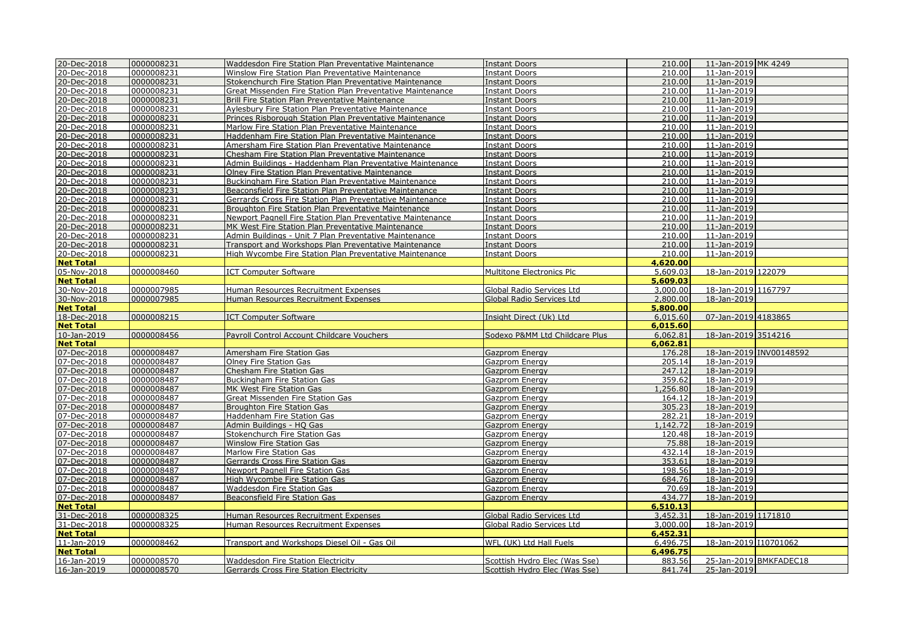| 20-Dec-2018                | 0000008231               | Waddesdon Fire Station Plan Preventative Maintenance                                 | <b>Instant Doors</b>                                           | 210.00           | 11-Jan-2019 MK 4249   |                         |
|----------------------------|--------------------------|--------------------------------------------------------------------------------------|----------------------------------------------------------------|------------------|-----------------------|-------------------------|
| 20-Dec-2018                | 0000008231               | <b>Winslow Fire Station Plan Preventative Maintenance</b>                            | Instant Doors                                                  | 210.00           | 11-Jan-2019           |                         |
| 20-Dec-2018                | 0000008231               | Stokenchurch Fire Station Plan Preventative Maintenance                              | <b>Instant Doors</b>                                           | 210.00           | 11-Jan-2019           |                         |
| 20-Dec-2018                | 0000008231               | Great Missenden Fire Station Plan Preventative Maintenance                           | <b>Instant Doors</b>                                           | 210.00           | 11-Jan-2019           |                         |
| 20-Dec-2018                | 0000008231               | Brill Fire Station Plan Preventative Maintenance                                     | <b>Instant Doors</b>                                           | 210.00           | 11-Jan-2019           |                         |
| 20-Dec-2018                | 0000008231               | <b>Aylesbury Fire Station Plan Preventative Maintenance</b>                          | <b>Instant Doors</b>                                           | 210.00           | 11-Jan-2019           |                         |
| 20-Dec-2018                | 0000008231               | Princes Risborough Station Plan Preventative Maintenance                             | <b>Instant Doors</b>                                           | 210.00           | 11-Jan-2019           |                         |
| 20-Dec-2018                | 0000008231               | Marlow Fire Station Plan Preventative Maintenance                                    | <b>Instant Doors</b>                                           | 210.00           | 11-Jan-2019           |                         |
| 20-Dec-2018                | 0000008231               | Haddenham Fire Station Plan Preventative Maintenance                                 | <b>Instant Doors</b>                                           | 210.00           | 11-Jan-2019           |                         |
| 20-Dec-2018                | 0000008231               | Amersham Fire Station Plan Preventative Maintenance                                  | <b>Instant Doors</b>                                           | 210.00           | 11-Jan-2019           |                         |
| 20-Dec-2018                | 0000008231               | Chesham Fire Station Plan Preventative Maintenance                                   | <b>Instant Doors</b>                                           | 210.00           | 11-Jan-2019           |                         |
| 20-Dec-2018                | 0000008231               | Admin Buildings - Haddenham Plan Preventative Maintenance                            | <b>Instant Doors</b>                                           | 210.00           | 11-Jan-2019           |                         |
| 20-Dec-2018                | 0000008231               | Olney Fire Station Plan Preventative Maintenance                                     | <b>Instant Doors</b>                                           | 210.00           | 11-Jan-2019           |                         |
| 20-Dec-2018                | 0000008231               | Buckingham Fire Station Plan Preventative Maintenance                                | <b>Instant Doors</b>                                           | 210.00           | 11-Jan-2019           |                         |
| 20-Dec-2018                | 0000008231               | Beaconsfield Fire Station Plan Preventative Maintenance                              | <b>Instant Doors</b>                                           | 210.00           | 11-Jan-2019           |                         |
| 20-Dec-2018                | 0000008231               | Gerrards Cross Fire Station Plan Preventative Maintenance                            | <b>Instant Doors</b>                                           | 210.00           | 11-Jan-2019           |                         |
| 20-Dec-2018                | 0000008231               | Broughton Fire Station Plan Preventative Maintenance                                 | <b>Instant Doors</b>                                           | 210.00           | 11-Jan-2019           |                         |
| 20-Dec-2018                | 0000008231               | Newport Pagnell Fire Station Plan Preventative Maintenance                           | <b>Instant Doors</b>                                           | 210.00           | 11-Jan-2019           |                         |
| 20-Dec-2018                | 0000008231               | MK West Fire Station Plan Preventative Maintenance                                   | Instant Doors                                                  | 210.00           | 11-Jan-2019           |                         |
| 20-Dec-2018                | 0000008231               | Admin Buildings - Unit 7 Plan Preventative Maintenance                               | <b>Instant Doors</b>                                           | 210.00           | 11-Jan-2019           |                         |
| 20-Dec-2018                | 0000008231               | Transport and Workshops Plan Preventative Maintenance                                | <b>Instant Doors</b>                                           | 210.00           | 11-Jan-2019           |                         |
| 20-Dec-2018                | 0000008231               | High Wycombe Fire Station Plan Preventative Maintenance                              | <b>Instant Doors</b>                                           | 210.00           | 11-Jan-2019           |                         |
| <b>Net Total</b>           |                          |                                                                                      |                                                                | 4,620,00         |                       |                         |
| 05-Nov-2018                | 0000008460               | <b>ICT Computer Software</b>                                                         | Multitone Electronics Plc                                      | 5,609.03         | 18-Jan-2019 122079    |                         |
| <b>Net Total</b>           |                          |                                                                                      |                                                                | 5,609.03         |                       |                         |
| 30-Nov-2018                | 0000007985               | Human Resources Recruitment Expenses                                                 | Global Radio Services Ltd                                      | 3,000.00         | 18-Jan-2019 1167797   |                         |
| 30-Nov-2018                | 0000007985               | Human Resources Recruitment Expenses                                                 | Global Radio Services Ltd                                      | 2,800.00         | 18-Jan-2019           |                         |
| <b>Net Total</b>           |                          |                                                                                      |                                                                | 5,800.00         |                       |                         |
| 18-Dec-2018                | 0000008215               | <b>ICT Computer Software</b>                                                         | Insight Direct (Uk) Ltd                                        | 6,015.60         | 07-Jan-2019 4183865   |                         |
| <b>Net Total</b>           |                          |                                                                                      |                                                                | 6,015,60         |                       |                         |
| 10-Jan-2019                | 0000008456               | Payroll Control Account Childcare Vouchers                                           | Sodexo P&MM Ltd Childcare Plus                                 | 6,062.81         | 18-Jan-2019 3514216   |                         |
|                            |                          |                                                                                      |                                                                |                  |                       |                         |
| <b>Net Total</b>           |                          |                                                                                      |                                                                | 6,062.81         |                       |                         |
| 07-Dec-2018                | 0000008487               | Amersham Fire Station Gas                                                            | <b>Gazprom Energy</b>                                          | 176.28           |                       | 18-Jan-2019 INV00148592 |
| 07-Dec-2018                | 0000008487               | Olney Fire Station Gas                                                               | Gazprom Energy                                                 | 205.14           | 18-Jan-2019           |                         |
| 07-Dec-2018                | 0000008487               | <b>Chesham Fire Station Gas</b>                                                      | Gazprom Energy                                                 | 247.12           | 18-Jan-2019           |                         |
| 07-Dec-2018                | 0000008487               | Buckingham Fire Station Gas                                                          | Gazprom Energy                                                 | 359.62           | 18-Jan-2019           |                         |
| 07-Dec-2018                | 0000008487               | MK West Fire Station Gas                                                             | Gazprom Energy                                                 | ,256.80          | 18-Jan-2019           |                         |
| 07-Dec-2018                | 0000008487               | Great Missenden Fire Station Gas                                                     | Gazprom Energy                                                 | 164.12           | 18-Jan-2019           |                         |
| 07-Dec-2018                | 0000008487               | <b>Broughton Fire Station Gas</b>                                                    | Gazprom Energy                                                 | 305.23           | 18-Jan-2019           |                         |
| 07-Dec-2018                | 0000008487               | <b>Haddenham Fire Station Gas</b>                                                    | Gazprom Energy                                                 | 282.21           | 18-Jan-2019           |                         |
| 07-Dec-2018                | 0000008487               | Admin Buildings - HQ Gas                                                             | Gazprom Energy                                                 | 1,142.72         | 18-Jan-2019           |                         |
| 07-Dec-2018                | 0000008487               | Stokenchurch Fire Station Gas                                                        | Gazprom Energy                                                 | 120.48           | 18-Jan-2019           |                         |
| 07-Dec-2018                | 0000008487               | <b>Winslow Fire Station Gas</b>                                                      | Gazprom Energy                                                 | 75.88            | 18-Jan-2019           |                         |
| 07-Dec-2018                | 0000008487               | Marlow Fire Station Gas                                                              | Gazprom Energy                                                 | 432.14           | 18-Jan-2019           |                         |
| 07-Dec-2018                | 0000008487               | Gerrards Cross Fire Station Gas                                                      | Gazprom Energy                                                 | 353.61           | 18-Jan-2019           |                         |
| 07-Dec-2018                | 0000008487               | Newport Pagnell Fire Station Gas                                                     | Gazprom Energy                                                 | 198.56           | 18-Jan-2019           |                         |
| 07-Dec-2018                | 0000008487               | High Wycombe Fire Station Gas                                                        | Gazprom Energy                                                 | 684.76           | 18-Jan-2019           |                         |
| 07-Dec-2018                | 0000008487               | Waddesdon Fire Station Gas                                                           | Gazprom Energy                                                 | 70.69            | 18-Jan-2019           |                         |
| 07-Dec-2018                | 0000008487               | Beaconsfield Fire Station Gas                                                        | Gazprom Energy                                                 | 434.77           | 18-Jan-2019           |                         |
| <b>Net Total</b>           |                          |                                                                                      |                                                                | 6,510.13         |                       |                         |
| 31-Dec-2018                | 0000008325               | Human Resources Recruitment Expenses                                                 | Global Radio Services Ltd                                      | 3,452.31         | 18-Jan-2019 1171810   |                         |
| 31-Dec-2018                | 0000008325               | Human Resources Recruitment Expenses                                                 | Global Radio Services Ltd                                      | 3,000.00         | 18-Jan-2019           |                         |
| <b>Net Total</b>           |                          |                                                                                      |                                                                | 6,452.31         |                       |                         |
| 11-Jan-2019                | 0000008462               | Transport and Workshops Diesel Oil - Gas Oil                                         | WFL (UK) Ltd Hall Fuels                                        | 6,496.75         | 18-Jan-2019 I10701062 |                         |
| <b>Net Total</b>           |                          |                                                                                      |                                                                | 6,496.75         |                       |                         |
| 16-Jan-2019<br>16-Jan-2019 | 0000008570<br>0000008570 | <b>Waddesdon Fire Station Electricity</b><br>Gerrards Cross Fire Station Electricity | Scottish Hydro Elec (Was Sse)<br>Scottish Hydro Elec (Was Sse) | 883.56<br>841.74 | 25-Jan-2019           | 25-Jan-2019 BMKFADEC18  |